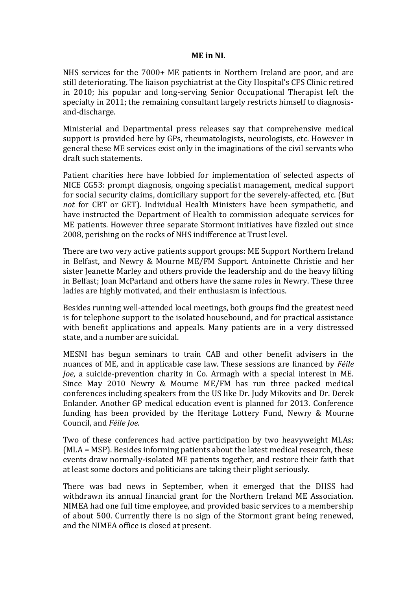## **ME in NI.**

NHS services for the 7000+ ME patients in Northern Ireland are poor, and are still deteriorating. The liaison psychiatrist at the City Hospital's CFS Clinic retired in 2010; his popular and long-serving Senior Occupational Therapist left the specialty in 2011; the remaining consultant largely restricts himself to diagnosisand-discharge.

Ministerial and Departmental press releases say that comprehensive medical support is provided here by GPs, rheumatologists, neurologists, etc. However in general these ME services exist only in the imaginations of the civil servants who draft such statements.

Patient charities here have lobbied for implementation of selected aspects of NICE CG53: prompt diagnosis, ongoing specialist management, medical support for social security claims, domiciliary support for the severely-affected, etc. (But *not* for CBT or GET). Individual Health Ministers have been sympathetic, and have instructed the Department of Health to commission adequate services for ME patients. However three separate Stormont initiatives have fizzled out since 2008, perishing on the rocks of NHS indifference at Trust level.

There are two very active patients support groups: ME Support Northern Ireland in Belfast, and Newry & Mourne ME/FM Support. Antoinette Christie and her sister Jeanette Marley and others provide the leadership and do the heavy lifting in Belfast; Joan McParland and others have the same roles in Newry. These three ladies are highly motivated, and their enthusiasm is infectious.

Besides running well-attended local meetings, both groups find the greatest need is for telephone support to the isolated housebound, and for practical assistance with benefit applications and appeals. Many patients are in a very distressed state, and a number are suicidal.

MESNI has begun seminars to train CAB and other benefit advisers in the nuances of ME, and in applicable case law. These sessions are financed by *Féile Joe*, a suicide-prevention charity in Co. Armagh with a special interest in ME. Since May 2010 Newry & Mourne ME/FM has run three packed medical conferences including speakers from the US like Dr. Judy Mikovits and Dr. Derek Enlander. Another GP medical education event is planned for 2013. Conference funding has been provided by the Heritage Lottery Fund, Newry & Mourne Council, and *Féile Joe*.

Two of these conferences had active participation by two heavyweight MLAs; (MLA = MSP). Besides informing patients about the latest medical research, these events draw normally-isolated ME patients together, and restore their faith that at least some doctors and politicians are taking their plight seriously.

There was bad news in September, when it emerged that the DHSS had withdrawn its annual financial grant for the Northern Ireland ME Association. NIMEA had one full time employee, and provided basic services to a membership of about 500. Currently there is no sign of the Stormont grant being renewed, and the NIMEA office is closed at present.